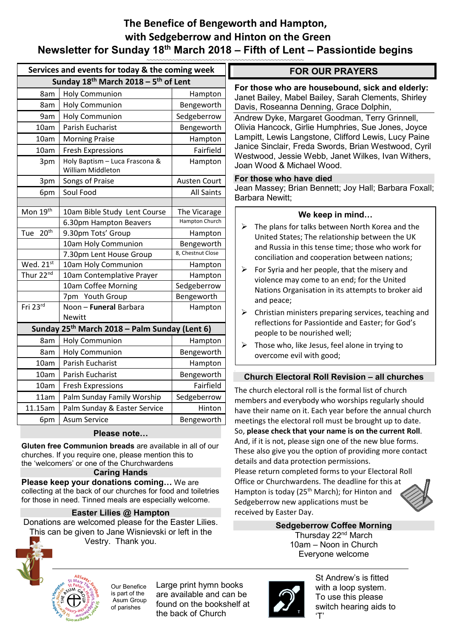### **The Benefice of Bengeworth and Hampton, with Sedgeberrow and Hinton on the Green Newsletter for Sunday 18th March 2018 – Fifth of Lent – Passiontide begins**  *~~~~~~~~~~~~~~~~~~~~~~~~~~~~~~~~~~~~~~~~~~~~~~~~*

|                                                                                                        | Services and events for today & the coming week           |                                                     |                         |  |
|--------------------------------------------------------------------------------------------------------|-----------------------------------------------------------|-----------------------------------------------------|-------------------------|--|
|                                                                                                        | Sunday 18th March 2018 - 5th of Lent                      |                                                     |                         |  |
| For tho<br>Janet E<br>Davis,<br>Andrew<br>Olivia H<br>Lampitt<br>Janice<br>Westwo<br>Joan W            | Hampton                                                   | <b>Holy Communion</b>                               | 8am                     |  |
|                                                                                                        | Bengeworth                                                | <b>Holy Communion</b>                               | 8am                     |  |
|                                                                                                        | Sedgeberrow                                               | <b>Holy Communion</b>                               | 9am                     |  |
|                                                                                                        | Bengeworth                                                | Parish Eucharist                                    | 10am                    |  |
|                                                                                                        | Hampton                                                   | <b>Morning Praise</b>                               | 10am                    |  |
|                                                                                                        | Fairfield                                                 | <b>Fresh Expressions</b>                            | 10am                    |  |
|                                                                                                        | Hampton                                                   | Holy Baptism - Luca Frascona &<br>William Middleton | 3pm                     |  |
| For tho<br>Jean M<br>Barbara                                                                           | <b>Austen Court</b>                                       | Songs of Praise                                     | 3pm                     |  |
|                                                                                                        | <b>All Saints</b>                                         | Soul Food                                           | 6pm                     |  |
|                                                                                                        |                                                           |                                                     |                         |  |
| Tł<br>➤<br>U<br>ar<br>cc<br>➤<br>Fo<br>vi<br>N <sub>i</sub><br>ar<br>$\mathsf{C}^{\dagger}$<br>➤<br>re | The Vicarage                                              | 10am Bible Study Lent Course                        | Mon 19th                |  |
|                                                                                                        | Hampton Church                                            | 6.30pm Hampton Beavers                              |                         |  |
|                                                                                                        | Hampton                                                   | 9.30pm Tots' Group                                  | 20 <sup>th</sup><br>Tue |  |
|                                                                                                        | Bengeworth                                                | 10am Holy Communion                                 |                         |  |
|                                                                                                        | 8, Chestnut Close                                         | 7.30pm Lent House Group                             |                         |  |
|                                                                                                        | Hampton                                                   | 10am Holy Communion                                 | Wed. 21st               |  |
|                                                                                                        | Hampton                                                   | 10am Contemplative Prayer                           | Thur 22nd               |  |
|                                                                                                        | Sedgeberrow                                               | 10am Coffee Morning                                 |                         |  |
|                                                                                                        | Bengeworth                                                | 7pm Youth Group                                     |                         |  |
|                                                                                                        | Hampton                                                   | Noon - Funeral Barbara                              | Fri 23rd                |  |
|                                                                                                        |                                                           | <b>Newitt</b>                                       |                         |  |
| pe<br>Tł<br>➢<br>О١                                                                                    | Sunday 25 <sup>th</sup> March 2018 - Palm Sunday (Lent 6) |                                                     |                         |  |
|                                                                                                        | Hampton                                                   | <b>Holy Communion</b>                               | 8am                     |  |
|                                                                                                        | Bengeworth                                                | <b>Holy Communion</b>                               | 8am                     |  |
|                                                                                                        | Hampton                                                   | <b>Parish Eucharist</b>                             | 10am                    |  |
| Chu                                                                                                    | Bengeworth                                                | Parish Eucharist                                    | 10am                    |  |
| The chu                                                                                                | Fairfield                                                 | <b>Fresh Expressions</b>                            | 10am                    |  |
| membe                                                                                                  | Sedgeberrow                                               | Palm Sunday Family Worship                          | 11am                    |  |
| have the                                                                                               | Hinton                                                    | Palm Sunday & Easter Service                        | 11.15am                 |  |
| meeting                                                                                                | Bengeworth                                                | <b>Asum Service</b>                                 | 6pm                     |  |
| so niga                                                                                                |                                                           |                                                     |                         |  |

### **Please note…**

**Gluten free Communion breads** are available in all of our churches. If you require one, please mention this to the 'welcomers' or one of the Churchwardens

### **Caring Hands**

**Please keep your donations coming…** We are collecting at the back of our churches for food and toiletries for those in need. Tinned meals are especially welcome.

### **Easter Lilies @ Hampton**

Donations are welcomed please for the Easter Lilies. This can be given to Jane Wisnievski or left in the Vestry. Thank you.



Our Benefice is part of the Asum Group of parishes

Large print hymn books are available and can be found on the bookshelf at the back of Church

### **FOR OUR PRAYERS**

**For those who are housebound, sick and elderly:**  Bailey, Mabel Bailey, Sarah Clements, Shirley Roseanna Denning, Grace Dolphin,

v Dyke, Margaret Goodman, Terry Grinnell, Hancock, Girlie Humphries, Sue Jones, Joyce t. Lewis Langstone, Clifford Lewis, Lucy Paine Sinclair, Freda Swords, Brian Westwood, Cyril ood, Jessie Webb, Janet Wilkes, Ivan Withers, Joan Wood & Michael Wood.

### **For those who have died**

lassey; Brian Bennett; Joy Hall; Barbara Foxall; a Newitt:

### **We keep in mind…**

- he plans for talks between North Korea and the nited States: The relationship between the UK nd Russia in this tense time: those who work for conciliation and cooperation between nations;
- or Syria and her people, that the misery and olence may come to an end; for the United ations Organisation in its attempts to broker aid nd peace;
- hristian ministers preparing services, teaching and flections for Passiontide and Easter; for God's eople to be nourished well;
- hose who, like Jesus, feel alone in trying to vercome evil with good;

### **rch Electoral Roll Revision – all churches**

Irch electoral roll is the formal list of church rs and everybody who worships regularly should eir name on it. Each year before the annual church gs the electoral roll must be brought up to date. So, **please check that your name is on the current Roll**. And, if it is not, please sign one of the new blue forms. These also give you the option of providing more contact details and data protection permissions. Please return completed forms to your Electoral Roll Office or Churchwardens. The deadline for this at Hampton is today (25<sup>th</sup> March); for Hinton and



**Sedgeberrow Coffee Morning**  Thursday 22<sup>nd</sup> March 10am – Noon in Church Everyone welcome



Sedgeberrow new applications must be

received by Easter Day.

St Andrew's is fitted with a loop system. To use this please switch hearing aids to 'T'